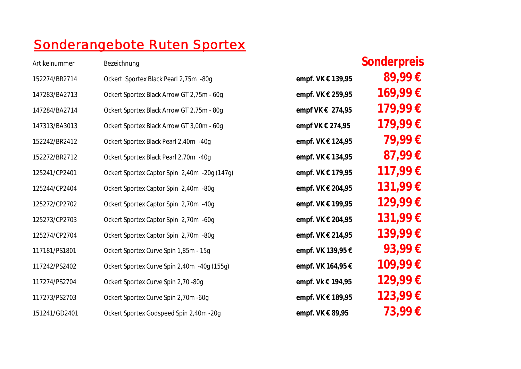## Sonderangebote Ruten Sportex

## Artikelnummer Bezeichnung **Sonderpreis**

| 152274/BR2714 | Ockert Sportex Black Pearl 2,75m -80g        | empf. VK € 139,95 | 89,99€  |
|---------------|----------------------------------------------|-------------------|---------|
| 147283/BA2713 | Ockert Sportex Black Arrow GT 2,75m - 60g    | empf. VK € 259,95 | 169,99€ |
| 147284/BA2714 | Ockert Sportex Black Arrow GT 2,75m - 80g    | empf VK € 274,95  | 179,99€ |
| 147313/BA3013 | Ockert Sportex Black Arrow GT 3,00m - 60g    | empf VK € 274,95  | 179,99€ |
| 152242/BR2412 | Ockert Sportex Black Pearl 2,40m -40g        | empf. VK € 124,95 | 79,99€  |
| 152272/BR2712 | Ockert Sportex Black Pearl 2,70m -40g        | empf. VK € 134,95 | 87,99€  |
| 125241/CP2401 | Ockert Sportex Captor Spin 2,40m -20g (147g) | empf. VK € 179,95 | 117,99€ |
| 125244/CP2404 | Ockert Sportex Captor Spin 2,40m -80g        | empf. VK € 204,95 | 131,99€ |
| 125272/CP2702 | Ockert Sportex Captor Spin 2,70m -40g        | empf. VK € 199,95 | 129,99€ |
| 125273/CP2703 | Ockert Sportex Captor Spin 2,70m -60g        | empf. VK € 204,95 | 131,99€ |
| 125274/CP2704 | Ockert Sportex Captor Spin 2,70m -80g        | empf. VK € 214,95 | 139,99€ |
| 117181/PS1801 | Ockert Sportex Curve Spin 1,85m - 15g        | empf. VK 139,95 € | 93,99€  |
| 117242/PS2402 | Ockert Sportex Curve Spin 2,40m -40g (155g)  | empf. VK 164,95 € | 109,99€ |
| 117274/PS2704 | Ockert Sportex Curve Spin 2,70 -80g          | empf. Vk € 194,95 | 129,99€ |
| 117273/PS2703 | Ockert Sportex Curve Spin 2,70m -60g         | empf. VK € 189,95 | 123,99€ |
| 151241/GD2401 | Ockert Sportex Godspeed Spin 2,40m -20g      | empf. VK € 89,95  | 73,99€  |
|               |                                              |                   |         |